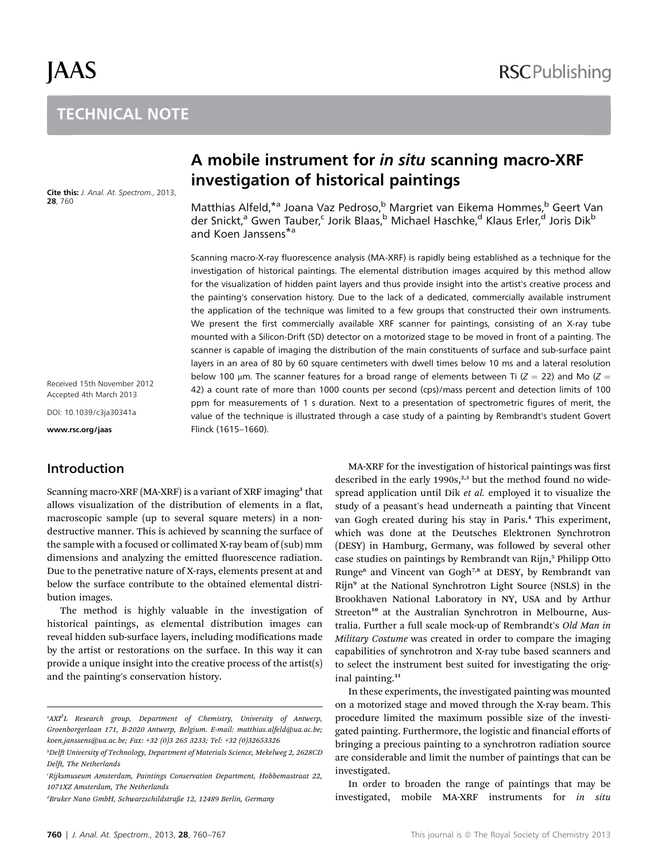# JAAS

# **TECHNICAL NOTE** TECHNICAL NOTE

Cite this: J. Anal. At. Spectrom., 2013, 28, 760

A mobile instrument for *in situ* scanning macro-XRF investigation of historical paintings investigation of historical paintings

Matthias Alfeld,<sup>\*a</sup> Joana Vaz Pedroso,<sup>b</sup> Margriet van Eikema Hommes,<sup>b</sup> Geert Van der Snickt,<sup>a</sup> Gwen Tauber,<sup>c</sup> Jorik Blaas,<sup>b</sup> Michael Haschke,<sup>d</sup> Klaus Erler,<sup>d</sup> Joris Dik<sup>b</sup> and Koen Janssens\*<sup>a</sup>

Scanning macro-X-ray fluorescence analysis (MA-XRF) is rapidly being established as a technique for the investigation of historical paintings. The elemental distribution images acquired by this method allow for the visualization of hidden paint layers and thus provide insight into the artist's creative process and the painting's conservation history. Due to the lack of a dedicated, commercially available instrument the application of the technique was limited to a few groups that constructed their own instruments. We present the first commercially available XRF scanner for paintings, consisting of an X-ray tube mounted with a Silicon-Drift (SD) detector on a motorized stage to be moved in front of a painting. The scanner is capable of imaging the distribution of the main constituents of surface and sub-surface paint layers in an area of 80 by 60 square centimeters with dwell times below 10 ms and a lateral resolution below 100 µm. The scanner features for a broad range of elements between Ti ( $Z = 22$ ) and Mo ( $Z =$ 42) a count rate of more than 1000 counts per second (cps)/mass percent and detection limits of 100 ppm for measurements of 1 s duration. Next to a presentation of spectrometric figures of merit, the value of the technique is illustrated through a case study of a painting by Rembrandt's student Govert Flinck (1615–1660).

Received 15th November 2012 Accepted 4th March 2013

DOI: 10.1039/c3ja30341a

www.rsc.org/jaas

# Introduction

Scanning macro-XRF (MA-XRF) is a variant of XRF imaging<sup>1</sup> that allows visualization of the distribution of elements in a flat, macroscopic sample (up to several square meters) in a nondestructive manner. This is achieved by scanning the surface of the sample with a focused or collimated X-ray beam of (sub) mm dimensions and analyzing the emitted fluorescence radiation. Due to the penetrative nature of X-rays, elements present at and below the surface contribute to the obtained elemental distribution images.

The method is highly valuable in the investigation of historical paintings, as elemental distribution images can reveal hidden sub-surface layers, including modifications made by the artist or restorations on the surface. In this way it can provide a unique insight into the creative process of the artist(s) and the painting's conservation history.

MA-XRF for the investigation of historical paintings was first described in the early  $1990s$ ,<sup>2,3</sup> but the method found no widespread application until Dik et al. employed it to visualize the study of a peasant's head underneath a painting that Vincent van Gogh created during his stay in Paris.<sup>4</sup> This experiment, which was done at the Deutsches Elektronen Synchrotron (DESY) in Hamburg, Germany, was followed by several other case studies on paintings by Rembrandt van Rijn,<sup>5</sup> Philipp Otto Runge<sup>6</sup> and Vincent van Gogh<sup>7,8</sup> at DESY, by Rembrandt van Rijn<sup>9</sup> at the National Synchrotron Light Source (NSLS) in the Brookhaven National Laboratory in NY, USA and by Arthur Streeton<sup>10</sup> at the Australian Synchrotron in Melbourne, Australia. Further a full scale mock-up of Rembrandt's Old Man in Military Costume was created in order to compare the imaging capabilities of synchrotron and X-ray tube based scanners and to select the instrument best suited for investigating the original painting.<sup>11</sup>

In these experiments, the investigated painting was mounted on a motorized stage and moved through the X-ray beam. This procedure limited the maximum possible size of the investigated painting. Furthermore, the logistic and financial efforts of bringing a precious painting to a synchrotron radiation source are considerable and limit the number of paintings that can be investigated.

In order to broaden the range of paintings that may be investigated, mobile MA-XRF instruments for in situ

<sup>&</sup>lt;sup>a</sup>AXI<sup>2</sup>L Research group, Department of Chemistry, University of Antwerp, Groenborgerlaan 171, B-2020 Antwerp, Belgium. E-mail: matthias.alfeld@ua.ac.be; koen.janssens@ua.ac.be; Fax: +32 (0)3 265 3233; Tel: +32 (0)32653326

<sup>&</sup>lt;sup>b</sup>Delft University of Technology, Department of Materials Science, Mekelweg 2, 2628CD Delft, The Netherlands

c Rijksmuseum Amsterdam, Paintings Conservation Department, Hobbemastraat 22, 1071XZ Amsterdam, The Netherlands

d Bruker Nano GmbH, Schwarzschildstraße 12, 12489 Berlin, Germany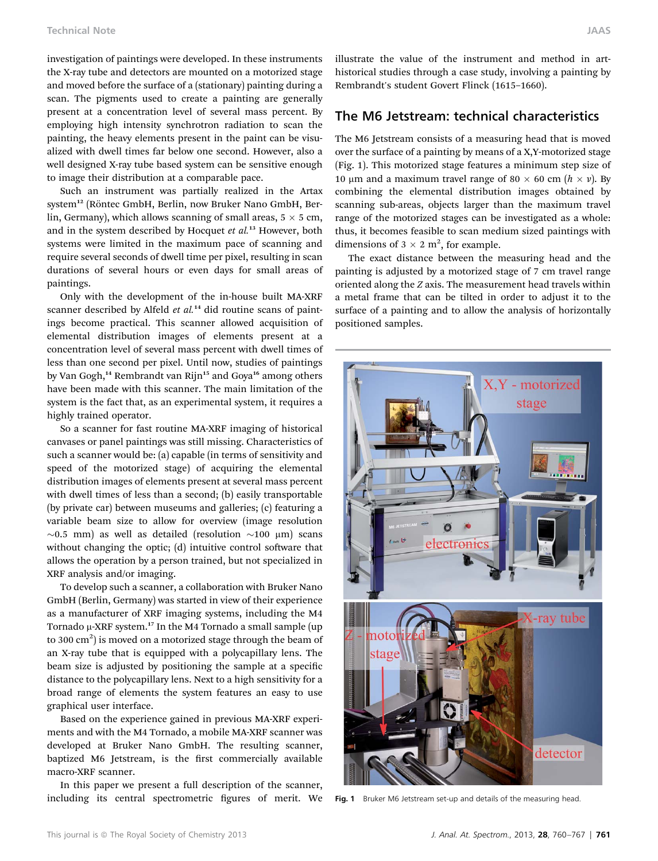investigation of paintings were developed. In these instruments the X-ray tube and detectors are mounted on a motorized stage and moved before the surface of a (stationary) painting during a scan. The pigments used to create a painting are generally present at a concentration level of several mass percent. By employing high intensity synchrotron radiation to scan the painting, the heavy elements present in the paint can be visualized with dwell times far below one second. However, also a well designed X-ray tube based system can be sensitive enough to image their distribution at a comparable pace.

Such an instrument was partially realized in the Artax system<sup>12</sup> (Röntec GmbH, Berlin, now Bruker Nano GmbH, Berlin, Germany), which allows scanning of small areas,  $5 \times 5$  cm, and in the system described by Hocquet et  $al.^{13}$  However, both systems were limited in the maximum pace of scanning and require several seconds of dwell time per pixel, resulting in scan durations of several hours or even days for small areas of paintings.

Only with the development of the in-house built MA-XRF scanner described by Alfeld  $et$   $al.^{14}$  did routine scans of paintings become practical. This scanner allowed acquisition of elemental distribution images of elements present at a concentration level of several mass percent with dwell times of less than one second per pixel. Until now, studies of paintings by Van Gogh,<sup>14</sup> Rembrandt van Rijn<sup>15</sup> and Goya<sup>16</sup> among others have been made with this scanner. The main limitation of the system is the fact that, as an experimental system, it requires a highly trained operator.

So a scanner for fast routine MA-XRF imaging of historical canvases or panel paintings was still missing. Characteristics of such a scanner would be: (a) capable (in terms of sensitivity and speed of the motorized stage) of acquiring the elemental distribution images of elements present at several mass percent with dwell times of less than a second; (b) easily transportable (by private car) between museums and galleries; (c) featuring a variable beam size to allow for overview (image resolution  $\sim$ 0.5 mm) as well as detailed (resolution  $\sim$ 100 µm) scans without changing the optic; (d) intuitive control software that allows the operation by a person trained, but not specialized in XRF analysis and/or imaging.

To develop such a scanner, a collaboration with Bruker Nano GmbH (Berlin, Germany) was started in view of their experience as a manufacturer of XRF imaging systems, including the M4 Tornado  $\mu$ -XRF system.<sup>17</sup> In the M4 Tornado a small sample (up to 300  $\mathrm{cm}^2)$  is moved on a motorized stage through the beam of an X-ray tube that is equipped with a polycapillary lens. The beam size is adjusted by positioning the sample at a specific distance to the polycapillary lens. Next to a high sensitivity for a broad range of elements the system features an easy to use graphical user interface.

Based on the experience gained in previous MA-XRF experiments and with the M4 Tornado, a mobile MA-XRF scanner was developed at Bruker Nano GmbH. The resulting scanner, baptized M6 Jetstream, is the first commercially available macro-XRF scanner.

In this paper we present a full description of the scanner, including its central spectrometric figures of merit. We illustrate the value of the instrument and method in arthistorical studies through a case study, involving a painting by Rembrandt's student Govert Flinck (1615–1660).

#### The M6 Jetstream: technical characteristics

The M6 Jetstream consists of a measuring head that is moved over the surface of a painting by means of a X,Y-motorized stage (Fig. 1). This motorized stage features a minimum step size of 10  $\mu$ m and a maximum travel range of 80  $\times$  60 cm ( $h \times v$ ). By combining the elemental distribution images obtained by scanning sub-areas, objects larger than the maximum travel range of the motorized stages can be investigated as a whole: thus, it becomes feasible to scan medium sized paintings with dimensions of  $3 \times 2$  m<sup>2</sup>, for example.

The exact distance between the measuring head and the painting is adjusted by a motorized stage of 7 cm travel range oriented along the Z axis. The measurement head travels within a metal frame that can be tilted in order to adjust it to the surface of a painting and to allow the analysis of horizontally positioned samples.



Fig. 1 Bruker M6 Jetstream set-up and details of the measuring head.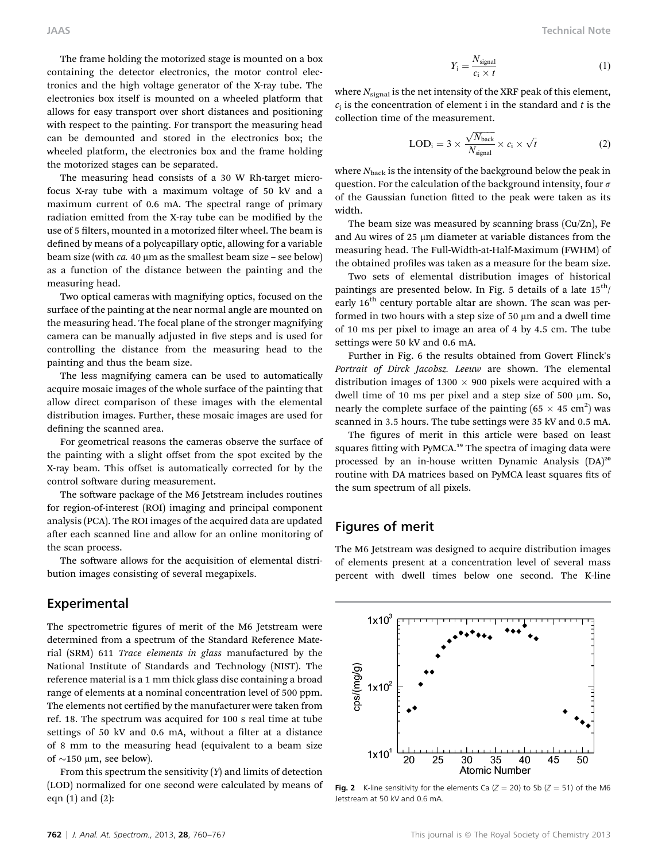The frame holding the motorized stage is mounted on a box containing the detector electronics, the motor control electronics and the high voltage generator of the X-ray tube. The electronics box itself is mounted on a wheeled platform that allows for easy transport over short distances and positioning with respect to the painting. For transport the measuring head can be demounted and stored in the electronics box; the wheeled platform, the electronics box and the frame holding the motorized stages can be separated.

The measuring head consists of a 30 W Rh-target microfocus X-ray tube with a maximum voltage of 50 kV and a maximum current of 0.6 mA. The spectral range of primary radiation emitted from the X-ray tube can be modified by the use of 5 filters, mounted in a motorized filter wheel. The beam is defined by means of a polycapillary optic, allowing for a variable beam size (with  $ca. 40 \mu m$  as the smallest beam size – see below) as a function of the distance between the painting and the measuring head.

Two optical cameras with magnifying optics, focused on the surface of the painting at the near normal angle are mounted on the measuring head. The focal plane of the stronger magnifying camera can be manually adjusted in five steps and is used for controlling the distance from the measuring head to the painting and thus the beam size.

The less magnifying camera can be used to automatically acquire mosaic images of the whole surface of the painting that allow direct comparison of these images with the elemental distribution images. Further, these mosaic images are used for defining the scanned area.

For geometrical reasons the cameras observe the surface of the painting with a slight offset from the spot excited by the X-ray beam. This offset is automatically corrected for by the control software during measurement.

The software package of the M6 Jetstream includes routines for region-of-interest (ROI) imaging and principal component analysis (PCA). The ROI images of the acquired data are updated after each scanned line and allow for an online monitoring of the scan process.

The software allows for the acquisition of elemental distribution images consisting of several megapixels.

### Experimental

The spectrometric figures of merit of the M6 Jetstream were determined from a spectrum of the Standard Reference Material (SRM) 611 Trace elements in glass manufactured by the National Institute of Standards and Technology (NIST). The reference material is a 1 mm thick glass disc containing a broad range of elements at a nominal concentration level of 500 ppm. The elements not certified by the manufacturer were taken from ref. 18. The spectrum was acquired for 100 s real time at tube settings of 50 kV and 0.6 mA, without a filter at a distance of 8 mm to the measuring head (equivalent to a beam size of  $\sim$ 150 µm, see below).

From this spectrum the sensitivity  $(Y)$  and limits of detection (LOD) normalized for one second were calculated by means of eqn  $(1)$  and  $(2)$ :

$$
Y_i = \frac{N_{\text{signal}}}{c_i \times t} \tag{1}
$$

where  $N_{\text{signal}}$  is the net intensity of the XRF peak of this element,  $c_i$  is the concentration of element i in the standard and t is the collection time of the measurement.

$$
LOD_i = 3 \times \frac{\sqrt{N_{back}}}{N_{signal}} \times c_i \times \sqrt{t}
$$
 (2)

where  $N_{\rm back}$  is the intensity of the background below the peak in question. For the calculation of the background intensity, four  $\sigma$ of the Gaussian function fitted to the peak were taken as its width.

The beam size was measured by scanning brass (Cu/Zn), Fe and Au wires of 25  $\mu$ m diameter at variable distances from the measuring head. The Full-Width-at-Half-Maximum (FWHM) of the obtained profiles was taken as a measure for the beam size.

Two sets of elemental distribution images of historical paintings are presented below. In Fig. 5 details of a late  $15<sup>th</sup>/$ early  $16<sup>th</sup>$  century portable altar are shown. The scan was performed in two hours with a step size of 50  $\mu$ m and a dwell time of 10 ms per pixel to image an area of 4 by 4.5 cm. The tube settings were 50 kV and 0.6 mA.

Further in Fig. 6 the results obtained from Govert Flinck's Portrait of Dirck Jacobsz. Leeuw are shown. The elemental distribution images of 1300  $\times$  900 pixels were acquired with a dwell time of 10 ms per pixel and a step size of 500  $\mu$ m. So, nearly the complete surface of the painting  $(65 \times 45 \text{ cm}^2)$  was scanned in 3.5 hours. The tube settings were 35 kV and 0.5 mA.

The figures of merit in this article were based on least squares fitting with PyMCA.<sup>19</sup> The spectra of imaging data were processed by an in-house written Dynamic Analysis (DA)<sup>20</sup> routine with DA matrices based on PyMCA least squares fits of the sum spectrum of all pixels.

# Figures of merit

The M6 Jetstream was designed to acquire distribution images of elements present at a concentration level of several mass percent with dwell times below one second. The K-line



Fig. 2 K-line sensitivity for the elements Ca ( $Z = 20$ ) to Sb ( $Z = 51$ ) of the M6 Jetstream at 50 kV and 0.6 mA.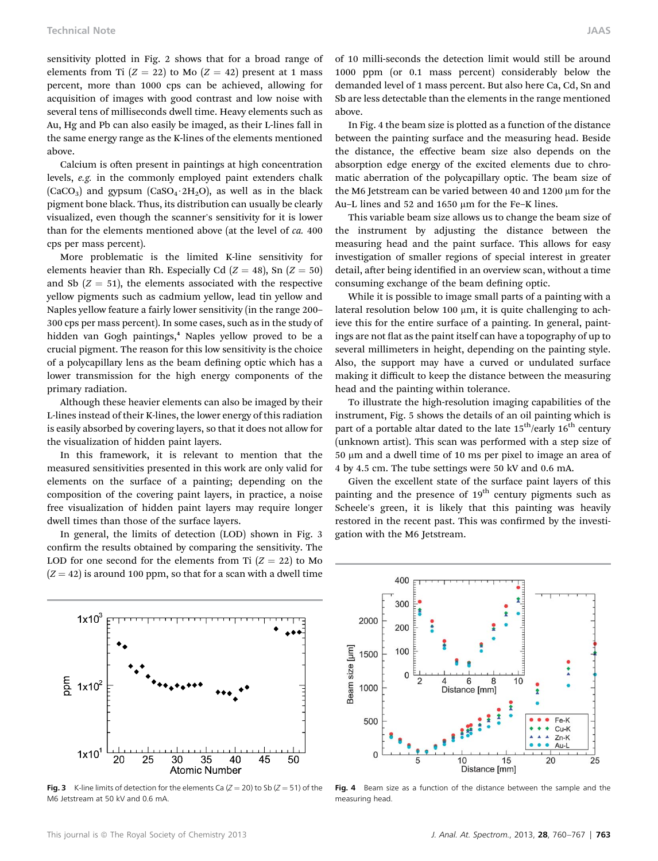sensitivity plotted in Fig. 2 shows that for a broad range of elements from Ti  $(Z = 22)$  to Mo  $(Z = 42)$  present at 1 mass percent, more than 1000 cps can be achieved, allowing for acquisition of images with good contrast and low noise with several tens of milliseconds dwell time. Heavy elements such as Au, Hg and Pb can also easily be imaged, as their L-lines fall in the same energy range as the K-lines of the elements mentioned above.

Calcium is often present in paintings at high concentration levels, e.g. in the commonly employed paint extenders chalk  $(CaCO<sub>3</sub>)$  and gypsum  $(CaSO<sub>4</sub>·2H<sub>2</sub>O)$ , as well as in the black pigment bone black. Thus, its distribution can usually be clearly visualized, even though the scanner's sensitivity for it is lower than for the elements mentioned above (at the level of ca. 400 cps per mass percent).

More problematic is the limited K-line sensitivity for elements heavier than Rh. Especially Cd ( $Z = 48$ ), Sn ( $Z = 50$ ) and Sb  $(Z = 51)$ , the elements associated with the respective yellow pigments such as cadmium yellow, lead tin yellow and Naples yellow feature a fairly lower sensitivity (in the range 200– 300 cps per mass percent). In some cases, such as in the study of hidden van Gogh paintings,<sup>4</sup> Naples yellow proved to be a crucial pigment. The reason for this low sensitivity is the choice of a polycapillary lens as the beam defining optic which has a lower transmission for the high energy components of the primary radiation.

Although these heavier elements can also be imaged by their L-lines instead of their K-lines, the lower energy of this radiation is easily absorbed by covering layers, so that it does not allow for the visualization of hidden paint layers.

In this framework, it is relevant to mention that the measured sensitivities presented in this work are only valid for elements on the surface of a painting; depending on the composition of the covering paint layers, in practice, a noise free visualization of hidden paint layers may require longer dwell times than those of the surface layers.

In general, the limits of detection (LOD) shown in Fig. 3 confirm the results obtained by comparing the sensitivity. The LOD for one second for the elements from Ti  $(Z = 22)$  to Mo  $(Z = 42)$  is around 100 ppm, so that for a scan with a dwell time

of 10 milli-seconds the detection limit would still be around 1000 ppm (or 0.1 mass percent) considerably below the demanded level of 1 mass percent. But also here Ca, Cd, Sn and Sb are less detectable than the elements in the range mentioned above.

In Fig. 4 the beam size is plotted as a function of the distance between the painting surface and the measuring head. Beside the distance, the effective beam size also depends on the absorption edge energy of the excited elements due to chromatic aberration of the polycapillary optic. The beam size of the M6 Jetstream can be varied between 40 and  $1200 \mu m$  for the Au–L lines and 52 and 1650 µm for the Fe–K lines.

This variable beam size allows us to change the beam size of the instrument by adjusting the distance between the measuring head and the paint surface. This allows for easy investigation of smaller regions of special interest in greater detail, after being identified in an overview scan, without a time consuming exchange of the beam defining optic.

While it is possible to image small parts of a painting with a lateral resolution below 100  $\mu$ m, it is quite challenging to achieve this for the entire surface of a painting. In general, paintings are not flat as the paint itself can have a topography of up to several millimeters in height, depending on the painting style. Also, the support may have a curved or undulated surface making it difficult to keep the distance between the measuring head and the painting within tolerance.

To illustrate the high-resolution imaging capabilities of the instrument, Fig. 5 shows the details of an oil painting which is part of a portable altar dated to the late  $15^{th}$ /early  $16^{th}$  century (unknown artist). This scan was performed with a step size of  $50 \mu m$  and a dwell time of 10 ms per pixel to image an area of 4 by 4.5 cm. The tube settings were 50 kV and 0.6 mA.

Given the excellent state of the surface paint layers of this painting and the presence of 19<sup>th</sup> century pigments such as Scheele's green, it is likely that this painting was heavily restored in the recent past. This was confirmed by the investigation with the M6 Jetstream.



Fig. 3 K-line limits of detection for the elements Ca ( $Z = 20$ ) to Sb ( $Z = 51$ ) of the M6 Jetstream at 50 kV and 0.6 mA.



Fig. 4 Beam size as a function of the distance between the sample and the measuring head.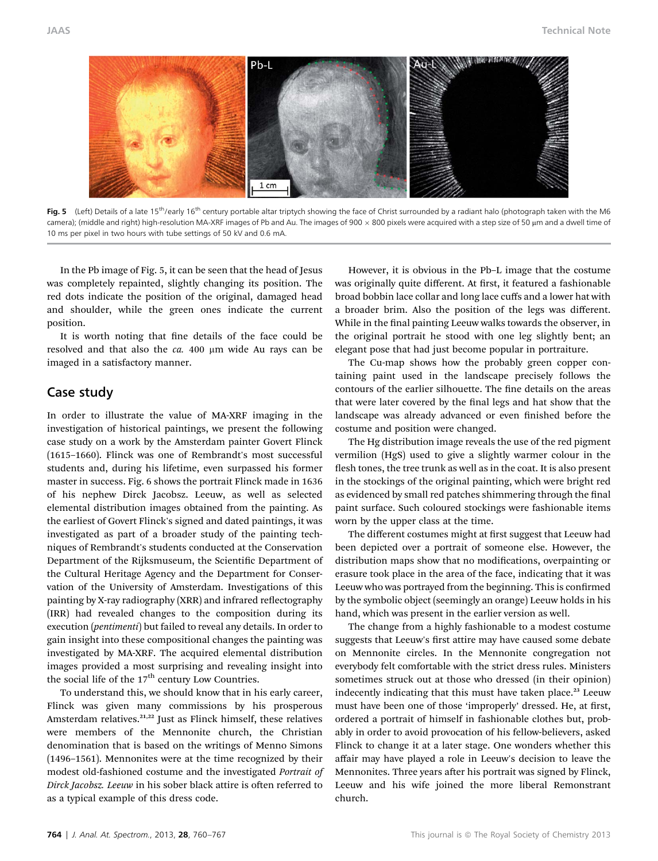

Fig. 5 (Left) Details of a late 15<sup>th</sup>/early 16<sup>th</sup> century portable altar triptych showing the face of Christ surrounded by a radiant halo (photograph taken with the M6  $\alpha$ amera); (middle and right) high-resolution MA-XRF images of Pb and Au. The images of 900  $\times$  800 pixels were acquired with a step size of 50 µm and a dwell time of 10 ms per pixel in two hours with tube settings of 50 kV and 0.6 mA.

In the Pb image of Fig. 5, it can be seen that the head of Jesus was completely repainted, slightly changing its position. The red dots indicate the position of the original, damaged head and shoulder, while the green ones indicate the current position.

It is worth noting that fine details of the face could be resolved and that also the  $ca. 400 \mu m$  wide Au rays can be imaged in a satisfactory manner.

### Case study

In order to illustrate the value of MA-XRF imaging in the investigation of historical paintings, we present the following case study on a work by the Amsterdam painter Govert Flinck (1615–1660). Flinck was one of Rembrandt's most successful students and, during his lifetime, even surpassed his former master in success. Fig. 6 shows the portrait Flinck made in 1636 of his nephew Dirck Jacobsz. Leeuw, as well as selected elemental distribution images obtained from the painting. As the earliest of Govert Flinck's signed and dated paintings, it was investigated as part of a broader study of the painting techniques of Rembrandt's students conducted at the Conservation Department of the Rijksmuseum, the Scientific Department of the Cultural Heritage Agency and the Department for Conservation of the University of Amsterdam. Investigations of this painting by X-ray radiography (XRR) and infrared reflectography (IRR) had revealed changes to the composition during its execution (pentimenti) but failed to reveal any details. In order to gain insight into these compositional changes the painting was investigated by MA-XRF. The acquired elemental distribution images provided a most surprising and revealing insight into the social life of the  $17<sup>th</sup>$  century Low Countries.

To understand this, we should know that in his early career, Flinck was given many commissions by his prosperous Amsterdam relatives.<sup>21,22</sup> Just as Flinck himself, these relatives were members of the Mennonite church, the Christian denomination that is based on the writings of Menno Simons (1496–1561). Mennonites were at the time recognized by their modest old-fashioned costume and the investigated Portrait of Dirck Jacobsz. Leeuw in his sober black attire is often referred to as a typical example of this dress code.

However, it is obvious in the Pb–L image that the costume was originally quite different. At first, it featured a fashionable broad bobbin lace collar and long lace cuffs and a lower hat with a broader brim. Also the position of the legs was different. While in the final painting Leeuw walks towards the observer, in the original portrait he stood with one leg slightly bent; an elegant pose that had just become popular in portraiture.

The Cu-map shows how the probably green copper containing paint used in the landscape precisely follows the contours of the earlier silhouette. The fine details on the areas that were later covered by the final legs and hat show that the landscape was already advanced or even finished before the costume and position were changed.

The Hg distribution image reveals the use of the red pigment vermilion (HgS) used to give a slightly warmer colour in the flesh tones, the tree trunk as well as in the coat. It is also present in the stockings of the original painting, which were bright red as evidenced by small red patches shimmering through the final paint surface. Such coloured stockings were fashionable items worn by the upper class at the time.

The different costumes might at first suggest that Leeuw had been depicted over a portrait of someone else. However, the distribution maps show that no modifications, overpainting or erasure took place in the area of the face, indicating that it was Leeuw who was portrayed from the beginning. This is confirmed by the symbolic object (seemingly an orange) Leeuw holds in his hand, which was present in the earlier version as well.

The change from a highly fashionable to a modest costume suggests that Leeuw's first attire may have caused some debate on Mennonite circles. In the Mennonite congregation not everybody felt comfortable with the strict dress rules. Ministers sometimes struck out at those who dressed (in their opinion) indecently indicating that this must have taken place.<sup>23</sup> Leeuw must have been one of those 'improperly' dressed. He, at first, ordered a portrait of himself in fashionable clothes but, probably in order to avoid provocation of his fellow-believers, asked Flinck to change it at a later stage. One wonders whether this affair may have played a role in Leeuw's decision to leave the Mennonites. Three years after his portrait was signed by Flinck, Leeuw and his wife joined the more liberal Remonstrant church.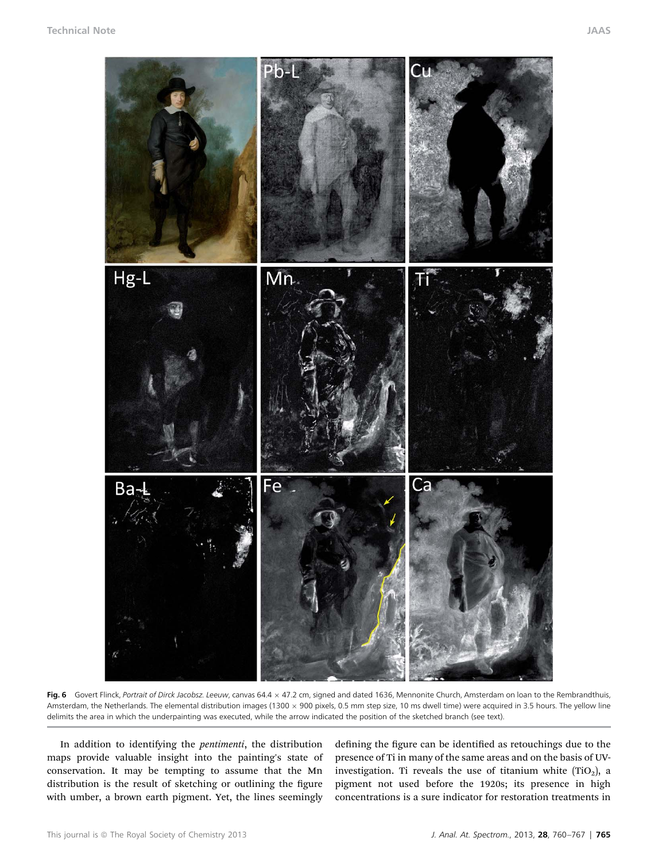

Fig. 6 Govert Flinck, Portrait of Dirck Jacobsz. Leeuw, canvas 64.4 × 47.2 cm, signed and dated 1636, Mennonite Church, Amsterdam on Ioan to the Rembrandthuis,<br>Apsterdam the Natherlands. The clamental distribution images ( Amsterdam, the Netherlands. The elemental distribution images (1300  $\times$  900 pixels, 0.5 mm step size, 10 ms dwell time) were acquired in 3.5 hours. The yellow line delimits the area in which the underpainting was executed, while the arrow indicated the position of the sketched branch (see text).

In addition to identifying the pentimenti, the distribution maps provide valuable insight into the painting's state of conservation. It may be tempting to assume that the Mn distribution is the result of sketching or outlining the figure with umber, a brown earth pigment. Yet, the lines seemingly

defining the figure can be identified as retouchings due to the presence of Ti in many of the same areas and on the basis of UVinvestigation. Ti reveals the use of titanium white  $(TIO<sub>2</sub>)$ , a pigment not used before the 1920s; its presence in high concentrations is a sure indicator for restoration treatments in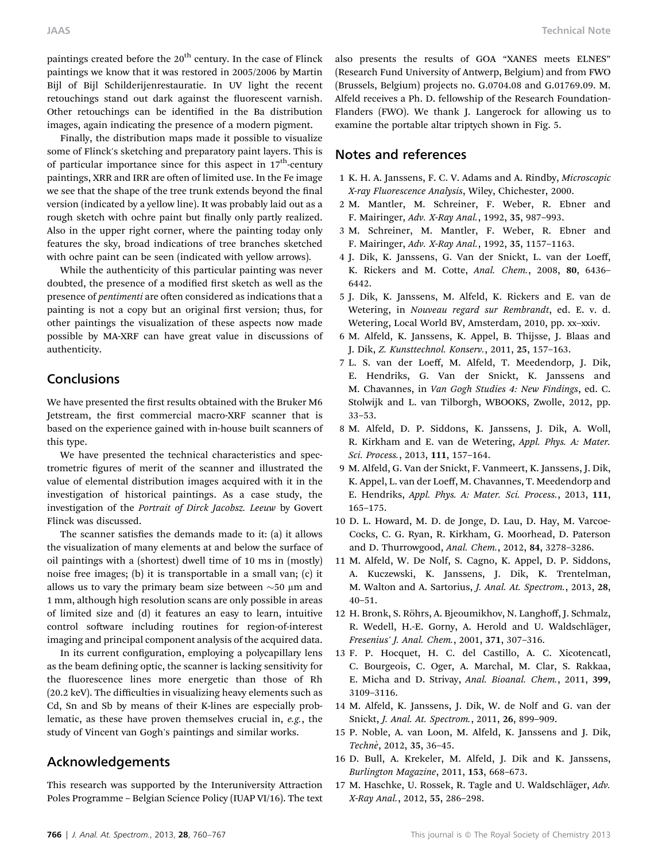paintings created before the  $20<sup>th</sup>$  century. In the case of Flinck paintings we know that it was restored in 2005/2006 by Martin Bijl of Bijl Schilderijenrestauratie. In UV light the recent retouchings stand out dark against the fluorescent varnish. Other retouchings can be identified in the Ba distribution images, again indicating the presence of a modern pigment.

Finally, the distribution maps made it possible to visualize some of Flinck's sketching and preparatory paint layers. This is of particular importance since for this aspect in  $17<sup>th</sup>$ -century paintings, XRR and IRR are often of limited use. In the Fe image we see that the shape of the tree trunk extends beyond the final version (indicated by a yellow line). It was probably laid out as a rough sketch with ochre paint but finally only partly realized. Also in the upper right corner, where the painting today only features the sky, broad indications of tree branches sketched with ochre paint can be seen (indicated with yellow arrows).

While the authenticity of this particular painting was never doubted, the presence of a modified first sketch as well as the presence of *pentimenti* are often considered as indications that a painting is not a copy but an original first version; thus, for other paintings the visualization of these aspects now made possible by MA-XRF can have great value in discussions of authenticity.

## **Conclusions**

We have presented the first results obtained with the Bruker M6 Jetstream, the first commercial macro-XRF scanner that is based on the experience gained with in-house built scanners of this type.

We have presented the technical characteristics and spectrometric figures of merit of the scanner and illustrated the value of elemental distribution images acquired with it in the investigation of historical paintings. As a case study, the investigation of the Portrait of Dirck Jacobsz. Leeuw by Govert Flinck was discussed.

The scanner satisfies the demands made to it:  $(a)$  it allows the visualization of many elements at and below the surface of oil paintings with a (shortest) dwell time of 10 ms in (mostly) noise free images; (b) it is transportable in a small van; (c) it allows us to vary the primary beam size between  $\sim$  50  $\mu$ m and 1 mm, although high resolution scans are only possible in areas of limited size and (d) it features an easy to learn, intuitive control software including routines for region-of-interest imaging and principal component analysis of the acquired data.

In its current configuration, employing a polycapillary lens as the beam defining optic, the scanner is lacking sensitivity for the fluorescence lines more energetic than those of Rh (20.2 keV). The difficulties in visualizing heavy elements such as Cd, Sn and Sb by means of their K-lines are especially problematic, as these have proven themselves crucial in, e.g., the study of Vincent van Gogh's paintings and similar works.

# Acknowledgements

This research was supported by the Interuniversity Attraction Poles Programme – Belgian Science Policy (IUAP VI/16). The text also presents the results of GOA "XANES meets ELNES" (Research Fund University of Antwerp, Belgium) and from FWO (Brussels, Belgium) projects no. G.0704.08 and G.01769.09. M. Alfeld receives a Ph. D. fellowship of the Research Foundation-Flanders (FWO). We thank J. Langerock for allowing us to examine the portable altar triptych shown in Fig. 5.

## Notes and references

- 1 K. H. A. Janssens, F. C. V. Adams and A. Rindby, Microscopic X-ray Fluorescence Analysis, Wiley, Chichester, 2000.
- 2 M. Mantler, M. Schreiner, F. Weber, R. Ebner and F. Mairinger, Adv. X-Ray Anal., 1992, 35, 987–993.
- 3 M. Schreiner, M. Mantler, F. Weber, R. Ebner and F. Mairinger, Adv. X-Ray Anal., 1992, 35, 1157–1163.
- 4 J. Dik, K. Janssens, G. Van der Snickt, L. van der Loeff, K. Rickers and M. Cotte, Anal. Chem., 2008, 80, 6436– 6442.
- 5 J. Dik, K. Janssens, M. Alfeld, K. Rickers and E. van de Wetering, in Nouveau regard sur Rembrandt, ed. E. v. d. Wetering, Local World BV, Amsterdam, 2010, pp. xx–xxiv.
- 6 M. Alfeld, K. Janssens, K. Appel, B. Thijsse, J. Blaas and J. Dik, Z. Kunsttechnol. Konserv., 2011, 25, 157–163.
- 7 L. S. van der Loeff, M. Alfeld, T. Meedendorp, J. Dik, E. Hendriks, G. Van der Snickt, K. Janssens and M. Chavannes, in Van Gogh Studies 4: New Findings, ed. C. Stolwijk and L. van Tilborgh, WBOOKS, Zwolle, 2012, pp. 33–53.
- 8 M. Alfeld, D. P. Siddons, K. Janssens, J. Dik, A. Woll, R. Kirkham and E. van de Wetering, Appl. Phys. A: Mater. Sci. Process., 2013, 111, 157–164.
- 9 M. Alfeld, G. Van der Snickt, F. Vanmeert, K. Janssens, J. Dik, K. Appel, L. van der Loeff, M. Chavannes, T. Meedendorp and E. Hendriks, Appl. Phys. A: Mater. Sci. Process., 2013, 111, 165–175.
- 10 D. L. Howard, M. D. de Jonge, D. Lau, D. Hay, M. Varcoe-Cocks, C. G. Ryan, R. Kirkham, G. Moorhead, D. Paterson and D. Thurrowgood, Anal. Chem., 2012, 84, 3278–3286.
- 11 M. Alfeld, W. De Nolf, S. Cagno, K. Appel, D. P. Siddons, A. Kuczewski, K. Janssens, J. Dik, K. Trentelman, M. Walton and A. Sartorius, J. Anal. At. Spectrom., 2013, 28, 40–51.
- 12 H. Bronk, S. Röhrs, A. Bjeoumikhov, N. Langhoff, J. Schmalz, R. Wedell, H.-E. Gorny, A. Herold and U. Waldschläger, Fresenius' J. Anal. Chem., 2001, 371, 307–316.
- 13 F. P. Hocquet, H. C. del Castillo, A. C. Xicotencatl, C. Bourgeois, C. Oger, A. Marchal, M. Clar, S. Rakkaa, E. Micha and D. Strivay, Anal. Bioanal. Chem., 2011, 399, 3109–3116.
- 14 M. Alfeld, K. Janssens, J. Dik, W. de Nolf and G. van der Snickt, J. Anal. At. Spectrom., 2011, 26, 899–909.
- 15 P. Noble, A. van Loon, M. Alfeld, K. Janssens and J. Dik, Technè, 2012, 35, 36-45.
- 16 D. Bull, A. Krekeler, M. Alfeld, J. Dik and K. Janssens, Burlington Magazine, 2011, 153, 668–673.
- 17 M. Haschke, U. Rossek, R. Tagle and U. Waldschläger, Adv. X-Ray Anal., 2012, 55, 286–298.